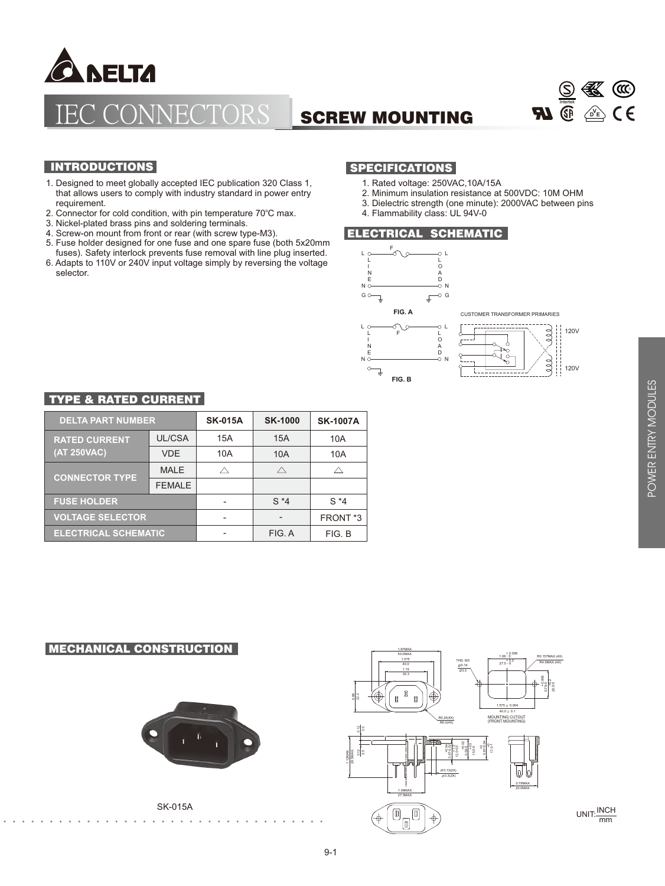

# IECTORS SCREW MOUNTING



## **INTRODUCTIONS**

- 1. Designed to meet globally accepted IEC publication 320 Class 1, that allows users to comply with industry standard in power entry requirement.
- 2. Connector for cold condition, with pin temperature 70°C max.
- 3. Nickel-plated brass pins and soldering terminals.
- 4. Screw-on mount from front or rear (with screw type-M3).
- 5. Fuse holder designed for one fuse and one spare fuse (both 5x20mm fuses). Safety interlock prevents fuse removal with line plug inserted.
- 6. Adapts to 110V or 240V input voltage simply by reversing the voltage selector.

### SPECIFICATIONS

- 1. Rated voltage: 250VAC,10A/15A
- 2. Minimum insulation resistance at 500VDC: 10M OHM
- 3. Dielectric strength (one minute): 2000VAC between pins
- 4. Flammability class: UL 94V-0

#### ELECTRICAL SCHEMATIC



#### TYPE & RATED CURRENT

| <b>DELTA PART NUMBER</b>            |               | <b>SK-015A</b> | <b>SK-1000</b> | <b>SK-1007A</b>     |
|-------------------------------------|---------------|----------------|----------------|---------------------|
| <b>RATED CURRENT</b><br>(AT 250VAC) | UL/CSA        | 15A            | 15A            | 10A                 |
|                                     | <b>VDE</b>    | 10A            | 10A            | 10A                 |
| <b>CONNECTOR TYPE</b>               | <b>MALE</b>   |                | ∧              |                     |
|                                     | <b>FEMALE</b> |                |                |                     |
| <b>FUSE HOLDER</b>                  |               |                | $S*4$          | $S^*4$              |
| <b>VOLTAGE SELECTOR</b>             |               |                |                | FRONT <sup>*3</sup> |
| <b>ELECTRICAL SCHEMATIC</b>         |               |                | FIG. A         | FIG. B              |

#### MECHANICAL CONSTRUCTION



SK-015A



UNIT: **INCH** mm